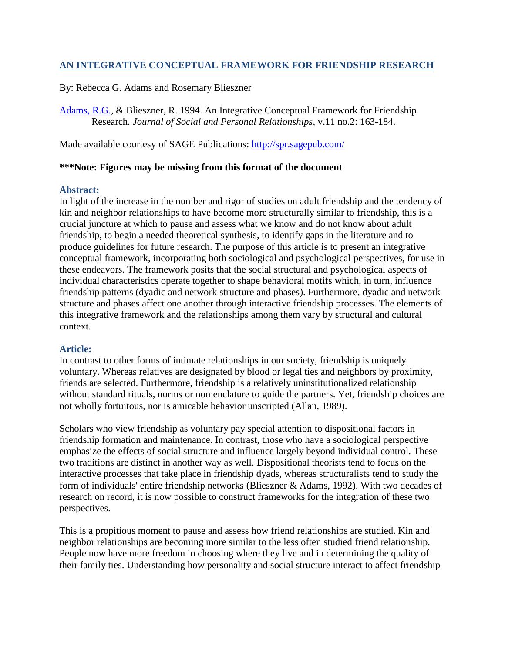## **AN INTEGRATIVE CONCEPTUAL FRAMEWORK FOR FRIENDSHIP RESEARCH**

By: Rebecca G. Adams and Rosemary Blieszner

[Adams, R.G.,](http://libres.uncg.edu/ir/uncg/clist.aspx?id=497) & Blieszner, R. 1994. An Integrative Conceptual Framework for Friendship Research. *Journal of Social and Personal Relationships*, v.11 no.2: 163-184.

Made available courtesy of SAGE Publications:<http://spr.sagepub.com/>

### **\*\*\*Note: Figures may be missing from this format of the document**

### **Abstract:**

In light of the increase in the number and rigor of studies on adult friendship and the tendency of kin and neighbor relationships to have become more structurally similar to friendship, this is a crucial juncture at which to pause and assess what we know and do not know about adult friendship, to begin a needed theoretical synthesis, to identify gaps in the literature and to produce guidelines for future research. The purpose of this article is to present an integrative conceptual framework, incorporating both sociological and psychological perspectives, for use in these endeavors. The framework posits that the social structural and psychological aspects of individual characteristics operate together to shape behavioral motifs which, in turn, influence friendship patterns (dyadic and network structure and phases). Furthermore, dyadic and network structure and phases affect one another through interactive friendship processes. The elements of this integrative framework and the relationships among them vary by structural and cultural context.

### **Article:**

In contrast to other forms of intimate relationships in our society, friendship is uniquely voluntary. Whereas relatives are designated by blood or legal ties and neighbors by proximity, friends are selected. Furthermore, friendship is a relatively uninstitutionalized relationship without standard rituals, norms or nomenclature to guide the partners. Yet, friendship choices are not wholly fortuitous, nor is amicable behavior unscripted (Allan, 1989).

Scholars who view friendship as voluntary pay special attention to dispositional factors in friendship formation and maintenance. In contrast, those who have a sociological perspective emphasize the effects of social structure and influence largely beyond individual control. These two traditions are distinct in another way as well. Dispositional theorists tend to focus on the interactive processes that take place in friendship dyads, whereas structuralists tend to study the form of individuals' entire friendship networks (Blieszner & Adams, 1992). With two decades of research on record, it is now possible to construct frameworks for the integration of these two perspectives.

This is a propitious moment to pause and assess how friend relationships are studied. Kin and neighbor relationships are becoming more similar to the less often studied friend relationship. People now have more freedom in choosing where they live and in determining the quality of their family ties. Understanding how personality and social structure interact to affect friendship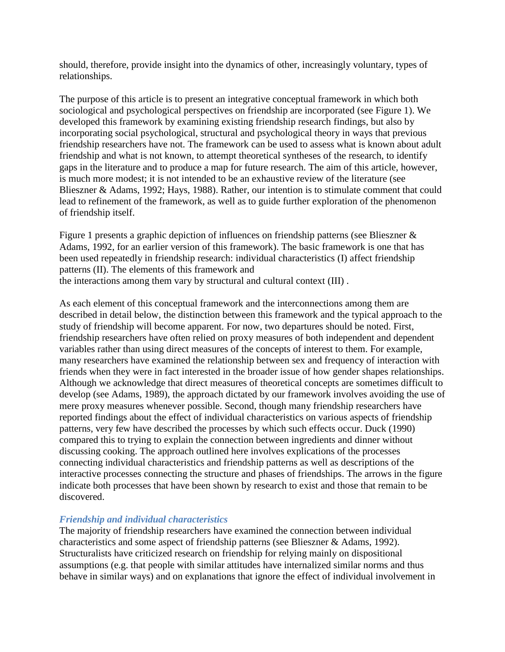should, therefore, provide insight into the dynamics of other, increasingly voluntary, types of relationships.

The purpose of this article is to present an integrative conceptual framework in which both sociological and psychological perspectives on friendship are incorporated (see Figure 1). We developed this framework by examining existing friendship research findings, but also by incorporating social psychological, structural and psychological theory in ways that previous friendship researchers have not. The framework can be used to assess what is known about adult friendship and what is not known, to attempt theoretical syntheses of the research, to identify gaps in the literature and to produce a map for future research. The aim of this article, however, is much more modest; it is not intended to be an exhaustive review of the literature (see Blieszner & Adams, 1992; Hays, 1988). Rather, our intention is to stimulate comment that could lead to refinement of the framework, as well as to guide further exploration of the phenomenon of friendship itself.

Figure 1 presents a graphic depiction of influences on friendship patterns (see Blieszner & Adams, 1992, for an earlier version of this framework). The basic framework is one that has been used repeatedly in friendship research: individual characteristics (I) affect friendship patterns (II). The elements of this framework and the interactions among them vary by structural and cultural context (III) .

As each element of this conceptual framework and the interconnections among them are described in detail below, the distinction between this framework and the typical approach to the study of friendship will become apparent. For now, two departures should be noted. First, friendship researchers have often relied on proxy measures of both independent and dependent variables rather than using direct measures of the concepts of interest to them. For example, many researchers have examined the relationship between sex and frequency of interaction with friends when they were in fact interested in the broader issue of how gender shapes relationships. Although we acknowledge that direct measures of theoretical concepts are sometimes difficult to develop (see Adams, 1989), the approach dictated by our framework involves avoiding the use of mere proxy measures whenever possible. Second, though many friendship researchers have reported findings about the effect of individual characteristics on various aspects of friendship patterns, very few have described the processes by which such effects occur. Duck (1990) compared this to trying to explain the connection between ingredients and dinner without discussing cooking. The approach outlined here involves explications of the processes connecting individual characteristics and friendship patterns as well as descriptions of the interactive processes connecting the structure and phases of friendships. The arrows in the figure indicate both processes that have been shown by research to exist and those that remain to be discovered.

### *Friendship and individual characteristics*

The majority of friendship researchers have examined the connection between individual characteristics and some aspect of friendship patterns (see Blieszner & Adams, 1992). Structuralists have criticized research on friendship for relying mainly on dispositional assumptions (e.g. that people with similar attitudes have internalized similar norms and thus behave in similar ways) and on explanations that ignore the effect of individual involvement in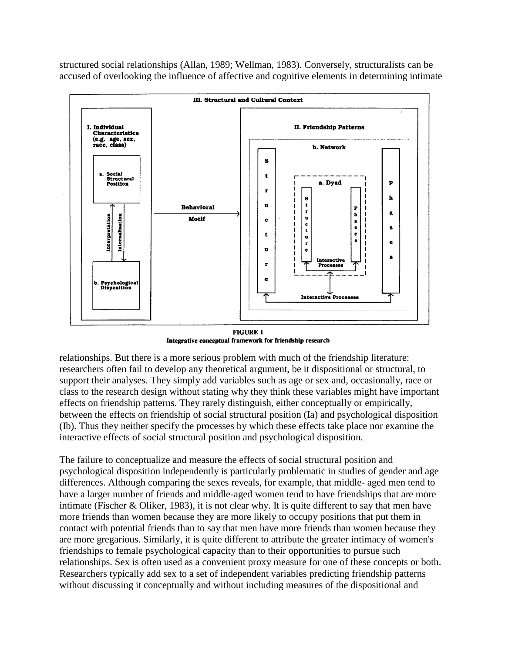structured social relationships (Allan, 1989; Wellman, 1983). Conversely, structuralists can be accused of overlooking the influence of affective and cognitive elements in determining intimate



**FIGURE 1** Integrative conceptual framework for friendship research

relationships. But there is a more serious problem with much of the friendship literature: researchers often fail to develop any theoretical argument, be it dispositional or structural, to support their analyses. They simply add variables such as age or sex and, occasionally, race or class to the research design without stating why they think these variables might have important effects on friendship patterns. They rarely distinguish, either conceptually or empirically, between the effects on friendship of social structural position (Ia) and psychological disposition (Ib). Thus they neither specify the processes by which these effects take place nor examine the interactive effects of social structural position and psychological disposition.

The failure to conceptualize and measure the effects of social structural position and psychological disposition independently is particularly problematic in studies of gender and age differences. Although comparing the sexes reveals, for example, that middle- aged men tend to have a larger number of friends and middle-aged women tend to have friendships that are more intimate (Fischer & Oliker, 1983), it is not clear why. It is quite different to say that men have more friends than women because they are more likely to occupy positions that put them in contact with potential friends than to say that men have more friends than women because they are more gregarious. Similarly, it is quite different to attribute the greater intimacy of women's friendships to female psychological capacity than to their opportunities to pursue such relationships. Sex is often used as a convenient proxy measure for one of these concepts or both. Researchers typically add sex to a set of independent variables predicting friendship patterns without discussing it conceptually and without including measures of the dispositional and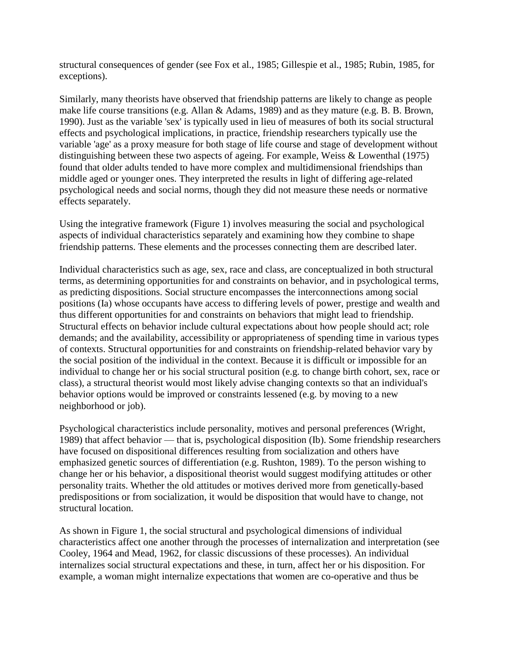structural consequences of gender (see Fox et al., 1985; Gillespie et al., 1985; Rubin, 1985, for exceptions).

Similarly, many theorists have observed that friendship patterns are likely to change as people make life course transitions (e.g. Allan & Adams, 1989) and as they mature (e.g. B. B. Brown, 1990). Just as the variable 'sex' is typically used in lieu of measures of both its social structural effects and psychological implications, in practice, friendship researchers typically use the variable 'age' as a proxy measure for both stage of life course and stage of development without distinguishing between these two aspects of ageing. For example, Weiss & Lowenthal (1975) found that older adults tended to have more complex and multidimensional friendships than middle aged or younger ones. They interpreted the results in light of differing age-related psychological needs and social norms, though they did not measure these needs or normative effects separately.

Using the integrative framework (Figure 1) involves measuring the social and psychological aspects of individual characteristics separately and examining how they combine to shape friendship patterns. These elements and the processes connecting them are described later.

Individual characteristics such as age, sex, race and class, are conceptualized in both structural terms, as determining opportunities for and constraints on behavior, and in psychological terms, as predicting dispositions. Social structure encompasses the interconnections among social positions (Ia) whose occupants have access to differing levels of power, prestige and wealth and thus different opportunities for and constraints on behaviors that might lead to friendship. Structural effects on behavior include cultural expectations about how people should act; role demands; and the availability, accessibility or appropriateness of spending time in various types of contexts. Structural opportunities for and constraints on friendship-related behavior vary by the social position of the individual in the context. Because it is difficult or impossible for an individual to change her or his social structural position (e.g. to change birth cohort, sex, race or class), a structural theorist would most likely advise changing contexts so that an individual's behavior options would be improved or constraints lessened (e.g. by moving to a new neighborhood or job).

Psychological characteristics include personality, motives and personal preferences (Wright, 1989) that affect behavior — that is, psychological disposition (Ib). Some friendship researchers have focused on dispositional differences resulting from socialization and others have emphasized genetic sources of differentiation (e.g. Rushton, 1989). To the person wishing to change her or his behavior, a dispositional theorist would suggest modifying attitudes or other personality traits. Whether the old attitudes or motives derived more from genetically-based predispositions or from socialization, it would be disposition that would have to change, not structural location.

As shown in Figure 1, the social structural and psychological dimensions of individual characteristics affect one another through the processes of internalization and interpretation (see Cooley, 1964 and Mead, 1962, for classic discussions of these processes). An individual internalizes social structural expectations and these, in turn, affect her or his disposition. For example, a woman might internalize expectations that women are co-operative and thus be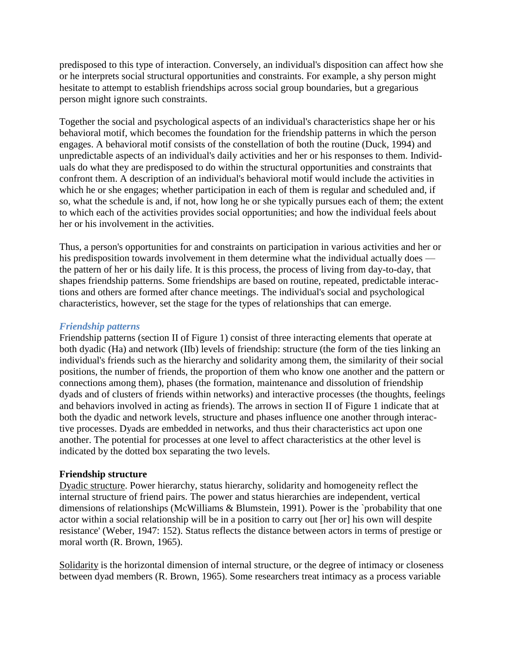predisposed to this type of interaction. Conversely, an individual's disposition can affect how she or he interprets social structural opportunities and constraints. For example, a shy person might hesitate to attempt to establish friendships across social group boundaries, but a gregarious person might ignore such constraints.

Together the social and psychological aspects of an individual's characteristics shape her or his behavioral motif, which becomes the foundation for the friendship patterns in which the person engages. A behavioral motif consists of the constellation of both the routine (Duck, 1994) and unpredictable aspects of an individual's daily activities and her or his responses to them. Individuals do what they are predisposed to do within the structural opportunities and constraints that confront them. A description of an individual's behavioral motif would include the activities in which he or she engages; whether participation in each of them is regular and scheduled and, if so, what the schedule is and, if not, how long he or she typically pursues each of them; the extent to which each of the activities provides social opportunities; and how the individual feels about her or his involvement in the activities.

Thus, a person's opportunities for and constraints on participation in various activities and her or his predisposition towards involvement in them determine what the individual actually does the pattern of her or his daily life. It is this process, the process of living from day-to-day, that shapes friendship patterns. Some friendships are based on routine, repeated, predictable interactions and others are formed after chance meetings. The individual's social and psychological characteristics, however, set the stage for the types of relationships that can emerge.

#### *Friendship patterns*

Friendship patterns (section II of Figure 1) consist of three interacting elements that operate at both dyadic (Ha) and network (IIb) levels of friendship: structure (the form of the ties linking an individual's friends such as the hierarchy and solidarity among them, the similarity of their social positions, the number of friends, the proportion of them who know one another and the pattern or connections among them), phases (the formation, maintenance and dissolution of friendship dyads and of clusters of friends within networks) and interactive processes (the thoughts, feelings and behaviors involved in acting as friends). The arrows in section II of Figure 1 indicate that at both the dyadic and network levels, structure and phases influence one another through interactive processes. Dyads are embedded in networks, and thus their characteristics act upon one another. The potential for processes at one level to affect characteristics at the other level is indicated by the dotted box separating the two levels.

### **Friendship structure**

Dyadic structure. Power hierarchy, status hierarchy, solidarity and homogeneity reflect the internal structure of friend pairs. The power and status hierarchies are independent, vertical dimensions of relationships (McWilliams & Blumstein, 1991). Power is the `probability that one actor within a social relationship will be in a position to carry out [her or] his own will despite resistance' (Weber, 1947: 152). Status reflects the distance between actors in terms of prestige or moral worth (R. Brown, 1965).

Solidarity is the horizontal dimension of internal structure, or the degree of intimacy or closeness between dyad members (R. Brown, 1965). Some researchers treat intimacy as a process variable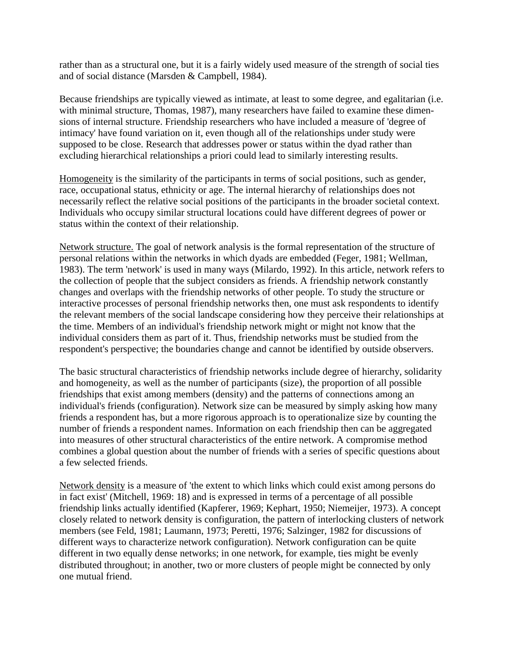rather than as a structural one, but it is a fairly widely used measure of the strength of social ties and of social distance (Marsden & Campbell, 1984).

Because friendships are typically viewed as intimate, at least to some degree, and egalitarian (i.e. with minimal structure, Thomas, 1987), many researchers have failed to examine these dimensions of internal structure. Friendship researchers who have included a measure of 'degree of intimacy' have found variation on it, even though all of the relationships under study were supposed to be close. Research that addresses power or status within the dyad rather than excluding hierarchical relationships a priori could lead to similarly interesting results.

Homogeneity is the similarity of the participants in terms of social positions, such as gender, race, occupational status, ethnicity or age. The internal hierarchy of relationships does not necessarily reflect the relative social positions of the participants in the broader societal context. Individuals who occupy similar structural locations could have different degrees of power or status within the context of their relationship.

Network structure. The goal of network analysis is the formal representation of the structure of personal relations within the networks in which dyads are embedded (Feger, 1981; Wellman, 1983). The term 'network' is used in many ways (Milardo, 1992). In this article, network refers to the collection of people that the subject considers as friends. A friendship network constantly changes and overlaps with the friendship networks of other people. To study the structure or interactive processes of personal friendship networks then, one must ask respondents to identify the relevant members of the social landscape considering how they perceive their relationships at the time. Members of an individual's friendship network might or might not know that the individual considers them as part of it. Thus, friendship networks must be studied from the respondent's perspective; the boundaries change and cannot be identified by outside observers.

The basic structural characteristics of friendship networks include degree of hierarchy, solidarity and homogeneity, as well as the number of participants (size), the proportion of all possible friendships that exist among members (density) and the patterns of connections among an individual's friends (configuration). Network size can be measured by simply asking how many friends a respondent has, but a more rigorous approach is to operationalize size by counting the number of friends a respondent names. Information on each friendship then can be aggregated into measures of other structural characteristics of the entire network. A compromise method combines a global question about the number of friends with a series of specific questions about a few selected friends.

Network density is a measure of 'the extent to which links which could exist among persons do in fact exist' (Mitchell, 1969: 18) and is expressed in terms of a percentage of all possible friendship links actually identified (Kapferer, 1969; Kephart, 1950; Niemeijer, 1973). A concept closely related to network density is configuration, the pattern of interlocking clusters of network members (see Feld, 1981; Laumann, 1973; Peretti, 1976; Salzinger, 1982 for discussions of different ways to characterize network configuration). Network configuration can be quite different in two equally dense networks; in one network, for example, ties might be evenly distributed throughout; in another, two or more clusters of people might be connected by only one mutual friend.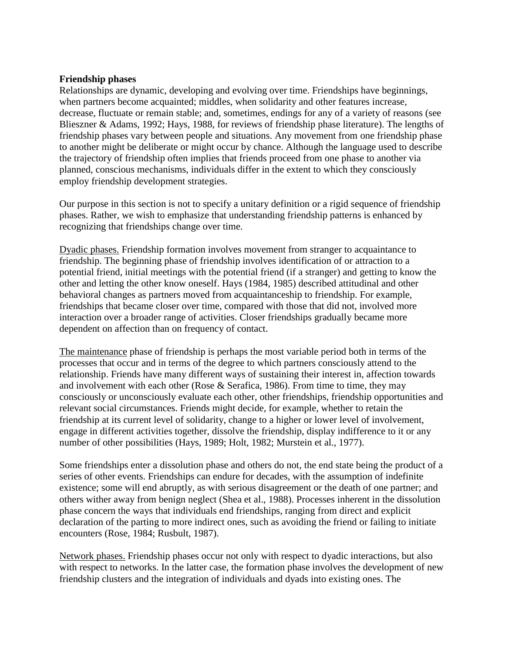### **Friendship phases**

Relationships are dynamic, developing and evolving over time. Friendships have beginnings, when partners become acquainted; middles, when solidarity and other features increase, decrease, fluctuate or remain stable; and, sometimes, endings for any of a variety of reasons (see Blieszner & Adams, 1992; Hays, 1988, for reviews of friendship phase literature). The lengths of friendship phases vary between people and situations. Any movement from one friendship phase to another might be deliberate or might occur by chance. Although the language used to describe the trajectory of friendship often implies that friends proceed from one phase to another via planned, conscious mechanisms, individuals differ in the extent to which they consciously employ friendship development strategies.

Our purpose in this section is not to specify a unitary definition or a rigid sequence of friendship phases. Rather, we wish to emphasize that understanding friendship patterns is enhanced by recognizing that friendships change over time.

Dyadic phases. Friendship formation involves movement from stranger to acquaintance to friendship. The beginning phase of friendship involves identification of or attraction to a potential friend, initial meetings with the potential friend (if a stranger) and getting to know the other and letting the other know oneself. Hays (1984, 1985) described attitudinal and other behavioral changes as partners moved from acquaintanceship to friendship. For example, friendships that became closer over time, compared with those that did not, involved more interaction over a broader range of activities. Closer friendships gradually became more dependent on affection than on frequency of contact.

The maintenance phase of friendship is perhaps the most variable period both in terms of the processes that occur and in terms of the degree to which partners consciously attend to the relationship. Friends have many different ways of sustaining their interest in, affection towards and involvement with each other (Rose & Serafica, 1986). From time to time, they may consciously or unconsciously evaluate each other, other friendships, friendship opportunities and relevant social circumstances. Friends might decide, for example, whether to retain the friendship at its current level of solidarity, change to a higher or lower level of involvement, engage in different activities together, dissolve the friendship, display indifference to it or any number of other possibilities (Hays, 1989; Holt, 1982; Murstein et al., 1977).

Some friendships enter a dissolution phase and others do not, the end state being the product of a series of other events. Friendships can endure for decades, with the assumption of indefinite existence; some will end abruptly, as with serious disagreement or the death of one partner; and others wither away from benign neglect (Shea et al., 1988). Processes inherent in the dissolution phase concern the ways that individuals end friendships, ranging from direct and explicit declaration of the parting to more indirect ones, such as avoiding the friend or failing to initiate encounters (Rose, 1984; Rusbult, 1987).

Network phases. Friendship phases occur not only with respect to dyadic interactions, but also with respect to networks. In the latter case, the formation phase involves the development of new friendship clusters and the integration of individuals and dyads into existing ones. The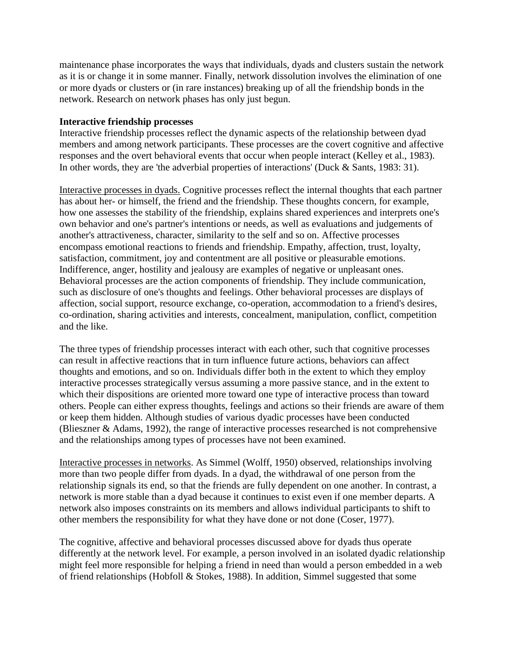maintenance phase incorporates the ways that individuals, dyads and clusters sustain the network as it is or change it in some manner. Finally, network dissolution involves the elimination of one or more dyads or clusters or (in rare instances) breaking up of all the friendship bonds in the network. Research on network phases has only just begun.

### **Interactive friendship processes**

Interactive friendship processes reflect the dynamic aspects of the relationship between dyad members and among network participants. These processes are the covert cognitive and affective responses and the overt behavioral events that occur when people interact (Kelley et al., 1983). In other words, they are 'the adverbial properties of interactions' (Duck & Sants, 1983: 31).

Interactive processes in dyads. Cognitive processes reflect the internal thoughts that each partner has about her- or himself, the friend and the friendship. These thoughts concern, for example, how one assesses the stability of the friendship, explains shared experiences and interprets one's own behavior and one's partner's intentions or needs, as well as evaluations and judgements of another's attractiveness, character, similarity to the self and so on. Affective processes encompass emotional reactions to friends and friendship. Empathy, affection, trust, loyalty, satisfaction, commitment, joy and contentment are all positive or pleasurable emotions. Indifference, anger, hostility and jealousy are examples of negative or unpleasant ones. Behavioral processes are the action components of friendship. They include communication, such as disclosure of one's thoughts and feelings. Other behavioral processes are displays of affection, social support, resource exchange, co-operation, accommodation to a friend's desires, co-ordination, sharing activities and interests, concealment, manipulation, conflict, competition and the like.

The three types of friendship processes interact with each other, such that cognitive processes can result in affective reactions that in turn influence future actions, behaviors can affect thoughts and emotions, and so on. Individuals differ both in the extent to which they employ interactive processes strategically versus assuming a more passive stance, and in the extent to which their dispositions are oriented more toward one type of interactive process than toward others. People can either express thoughts, feelings and actions so their friends are aware of them or keep them hidden. Although studies of various dyadic processes have been conducted (Blieszner & Adams, 1992), the range of interactive processes researched is not comprehensive and the relationships among types of processes have not been examined.

Interactive processes in networks. As Simmel (Wolff, 1950) observed, relationships involving more than two people differ from dyads. In a dyad, the withdrawal of one person from the relationship signals its end, so that the friends are fully dependent on one another. In contrast, a network is more stable than a dyad because it continues to exist even if one member departs. A network also imposes constraints on its members and allows individual participants to shift to other members the responsibility for what they have done or not done (Coser, 1977).

The cognitive, affective and behavioral processes discussed above for dyads thus operate differently at the network level. For example, a person involved in an isolated dyadic relationship might feel more responsible for helping a friend in need than would a person embedded in a web of friend relationships (Hobfoll & Stokes, 1988). In addition, Simmel suggested that some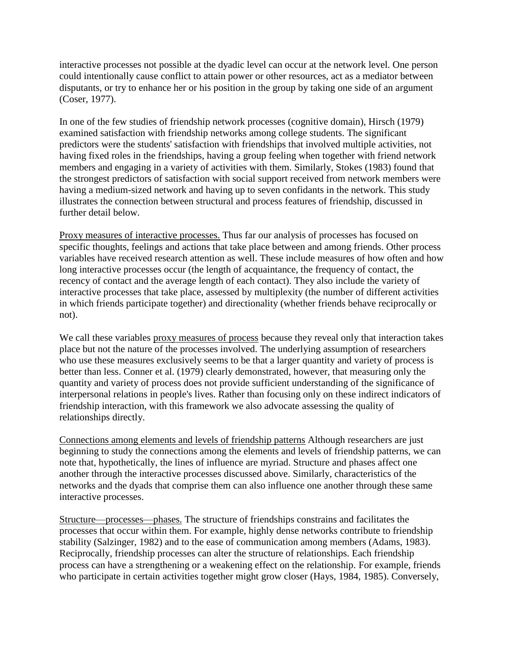interactive processes not possible at the dyadic level can occur at the network level. One person could intentionally cause conflict to attain power or other resources, act as a mediator between disputants, or try to enhance her or his position in the group by taking one side of an argument (Coser, 1977).

In one of the few studies of friendship network processes (cognitive domain), Hirsch (1979) examined satisfaction with friendship networks among college students. The significant predictors were the students' satisfaction with friendships that involved multiple activities, not having fixed roles in the friendships, having a group feeling when together with friend network members and engaging in a variety of activities with them. Similarly, Stokes (1983) found that the strongest predictors of satisfaction with social support received from network members were having a medium-sized network and having up to seven confidants in the network. This study illustrates the connection between structural and process features of friendship, discussed in further detail below.

Proxy measures of interactive processes. Thus far our analysis of processes has focused on specific thoughts, feelings and actions that take place between and among friends. Other process variables have received research attention as well. These include measures of how often and how long interactive processes occur (the length of acquaintance, the frequency of contact, the recency of contact and the average length of each contact). They also include the variety of interactive processes that take place, assessed by multiplexity (the number of different activities in which friends participate together) and directionality (whether friends behave reciprocally or not).

We call these variables proxy measures of process because they reveal only that interaction takes place but not the nature of the processes involved. The underlying assumption of researchers who use these measures exclusively seems to be that a larger quantity and variety of process is better than less. Conner et al. (1979) clearly demonstrated, however, that measuring only the quantity and variety of process does not provide sufficient understanding of the significance of interpersonal relations in people's lives. Rather than focusing only on these indirect indicators of friendship interaction, with this framework we also advocate assessing the quality of relationships directly.

Connections among elements and levels of friendship patterns Although researchers are just beginning to study the connections among the elements and levels of friendship patterns, we can note that, hypothetically, the lines of influence are myriad. Structure and phases affect one another through the interactive processes discussed above. Similarly, characteristics of the networks and the dyads that comprise them can also influence one another through these same interactive processes.

Structure—processes—phases. The structure of friendships constrains and facilitates the processes that occur within them. For example, highly dense networks contribute to friendship stability (Salzinger, 1982) and to the ease of communication among members (Adams, 1983). Reciprocally, friendship processes can alter the structure of relationships. Each friendship process can have a strengthening or a weakening effect on the relationship. For example, friends who participate in certain activities together might grow closer (Hays, 1984, 1985). Conversely,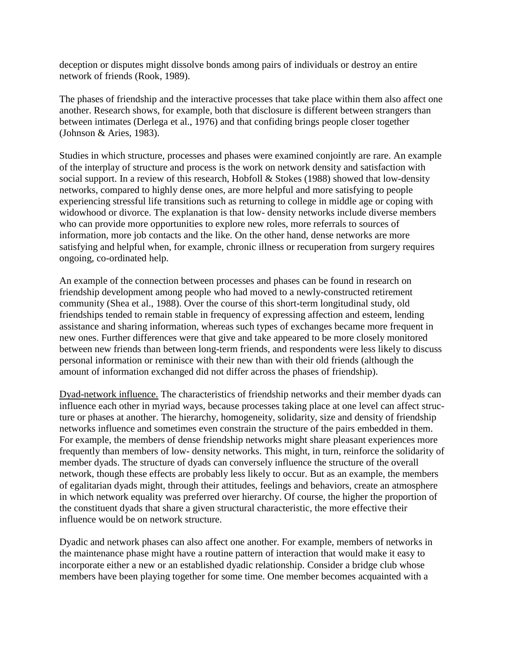deception or disputes might dissolve bonds among pairs of individuals or destroy an entire network of friends (Rook, 1989).

The phases of friendship and the interactive processes that take place within them also affect one another. Research shows, for example, both that disclosure is different between strangers than between intimates (Derlega et al., 1976) and that confiding brings people closer together (Johnson & Aries, 1983).

Studies in which structure, processes and phases were examined conjointly are rare. An example of the interplay of structure and process is the work on network density and satisfaction with social support. In a review of this research, Hobfoll & Stokes (1988) showed that low-density networks, compared to highly dense ones, are more helpful and more satisfying to people experiencing stressful life transitions such as returning to college in middle age or coping with widowhood or divorce. The explanation is that low- density networks include diverse members who can provide more opportunities to explore new roles, more referrals to sources of information, more job contacts and the like. On the other hand, dense networks are more satisfying and helpful when, for example, chronic illness or recuperation from surgery requires ongoing, co-ordinated help.

An example of the connection between processes and phases can be found in research on friendship development among people who had moved to a newly-constructed retirement community (Shea et al., 1988). Over the course of this short-term longitudinal study, old friendships tended to remain stable in frequency of expressing affection and esteem, lending assistance and sharing information, whereas such types of exchanges became more frequent in new ones. Further differences were that give and take appeared to be more closely monitored between new friends than between long-term friends, and respondents were less likely to discuss personal information or reminisce with their new than with their old friends (although the amount of information exchanged did not differ across the phases of friendship).

Dyad-network influence. The characteristics of friendship networks and their member dyads can influence each other in myriad ways, because processes taking place at one level can affect structure or phases at another. The hierarchy, homogeneity, solidarity, size and density of friendship networks influence and sometimes even constrain the structure of the pairs embedded in them. For example, the members of dense friendship networks might share pleasant experiences more frequently than members of low- density networks. This might, in turn, reinforce the solidarity of member dyads. The structure of dyads can conversely influence the structure of the overall network, though these effects are probably less likely to occur. But as an example, the members of egalitarian dyads might, through their attitudes, feelings and behaviors, create an atmosphere in which network equality was preferred over hierarchy. Of course, the higher the proportion of the constituent dyads that share a given structural characteristic, the more effective their influence would be on network structure.

Dyadic and network phases can also affect one another. For example, members of networks in the maintenance phase might have a routine pattern of interaction that would make it easy to incorporate either a new or an established dyadic relationship. Consider a bridge club whose members have been playing together for some time. One member becomes acquainted with a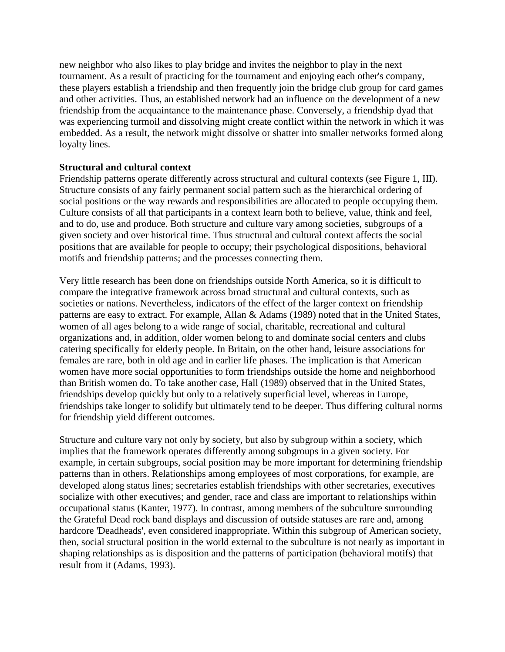new neighbor who also likes to play bridge and invites the neighbor to play in the next tournament. As a result of practicing for the tournament and enjoying each other's company, these players establish a friendship and then frequently join the bridge club group for card games and other activities. Thus, an established network had an influence on the development of a new friendship from the acquaintance to the maintenance phase. Conversely, a friendship dyad that was experiencing turmoil and dissolving might create conflict within the network in which it was embedded. As a result, the network might dissolve or shatter into smaller networks formed along loyalty lines.

### **Structural and cultural context**

Friendship patterns operate differently across structural and cultural contexts (see Figure 1, III). Structure consists of any fairly permanent social pattern such as the hierarchical ordering of social positions or the way rewards and responsibilities are allocated to people occupying them. Culture consists of all that participants in a context learn both to believe, value, think and feel, and to do, use and produce. Both structure and culture vary among societies, subgroups of a given society and over historical time. Thus structural and cultural context affects the social positions that are available for people to occupy; their psychological dispositions, behavioral motifs and friendship patterns; and the processes connecting them.

Very little research has been done on friendships outside North America, so it is difficult to compare the integrative framework across broad structural and cultural contexts, such as societies or nations. Nevertheless, indicators of the effect of the larger context on friendship patterns are easy to extract. For example, Allan & Adams (1989) noted that in the United States, women of all ages belong to a wide range of social, charitable, recreational and cultural organizations and, in addition, older women belong to and dominate social centers and clubs catering specifically for elderly people. In Britain, on the other hand, leisure associations for females are rare, both in old age and in earlier life phases. The implication is that American women have more social opportunities to form friendships outside the home and neighborhood than British women do. To take another case, Hall (1989) observed that in the United States, friendships develop quickly but only to a relatively superficial level, whereas in Europe, friendships take longer to solidify but ultimately tend to be deeper. Thus differing cultural norms for friendship yield different outcomes.

Structure and culture vary not only by society, but also by subgroup within a society, which implies that the framework operates differently among subgroups in a given society. For example, in certain subgroups, social position may be more important for determining friendship patterns than in others. Relationships among employees of most corporations, for example, are developed along status lines; secretaries establish friendships with other secretaries, executives socialize with other executives; and gender, race and class are important to relationships within occupational status (Kanter, 1977). In contrast, among members of the subculture surrounding the Grateful Dead rock band displays and discussion of outside statuses are rare and, among hardcore 'Deadheads', even considered inappropriate. Within this subgroup of American society, then, social structural position in the world external to the subculture is not nearly as important in shaping relationships as is disposition and the patterns of participation (behavioral motifs) that result from it (Adams, 1993).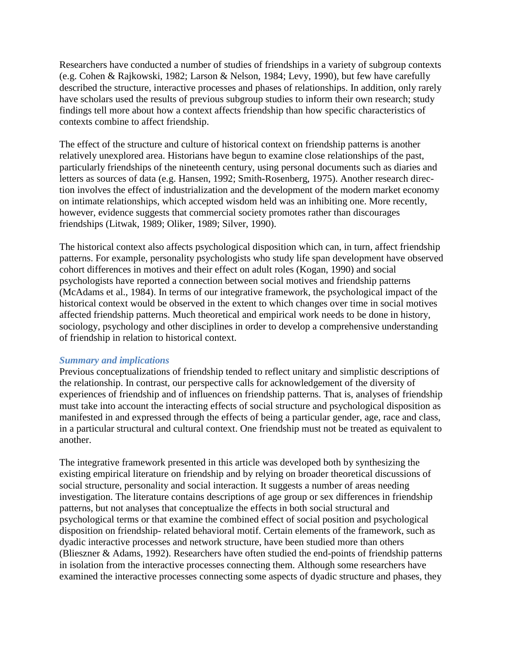Researchers have conducted a number of studies of friendships in a variety of subgroup contexts (e.g. Cohen & Rajkowski, 1982; Larson & Nelson, 1984; Levy, 1990), but few have carefully described the structure, interactive processes and phases of relationships. In addition, only rarely have scholars used the results of previous subgroup studies to inform their own research; study findings tell more about how a context affects friendship than how specific characteristics of contexts combine to affect friendship.

The effect of the structure and culture of historical context on friendship patterns is another relatively unexplored area. Historians have begun to examine close relationships of the past, particularly friendships of the nineteenth century, using personal documents such as diaries and letters as sources of data (e.g. Hansen, 1992; Smith-Rosenberg, 1975). Another research direction involves the effect of industrialization and the development of the modern market economy on intimate relationships, which accepted wisdom held was an inhibiting one. More recently, however, evidence suggests that commercial society promotes rather than discourages friendships (Litwak, 1989; Oliker, 1989; Silver, 1990).

The historical context also affects psychological disposition which can, in turn, affect friendship patterns. For example, personality psychologists who study life span development have observed cohort differences in motives and their effect on adult roles (Kogan, 1990) and social psychologists have reported a connection between social motives and friendship patterns (McAdams et al., 1984). In terms of our integrative framework, the psychological impact of the historical context would be observed in the extent to which changes over time in social motives affected friendship patterns. Much theoretical and empirical work needs to be done in history, sociology, psychology and other disciplines in order to develop a comprehensive understanding of friendship in relation to historical context.

#### *Summary and implications*

Previous conceptualizations of friendship tended to reflect unitary and simplistic descriptions of the relationship. In contrast, our perspective calls for acknowledgement of the diversity of experiences of friendship and of influences on friendship patterns. That is, analyses of friendship must take into account the interacting effects of social structure and psychological disposition as manifested in and expressed through the effects of being a particular gender, age, race and class, in a particular structural and cultural context. One friendship must not be treated as equivalent to another.

The integrative framework presented in this article was developed both by synthesizing the existing empirical literature on friendship and by relying on broader theoretical discussions of social structure, personality and social interaction. It suggests a number of areas needing investigation. The literature contains descriptions of age group or sex differences in friendship patterns, but not analyses that conceptualize the effects in both social structural and psychological terms or that examine the combined effect of social position and psychological disposition on friendship- related behavioral motif. Certain elements of the framework, such as dyadic interactive processes and network structure, have been studied more than others (Blieszner & Adams, 1992). Researchers have often studied the end-points of friendship patterns in isolation from the interactive processes connecting them. Although some researchers have examined the interactive processes connecting some aspects of dyadic structure and phases, they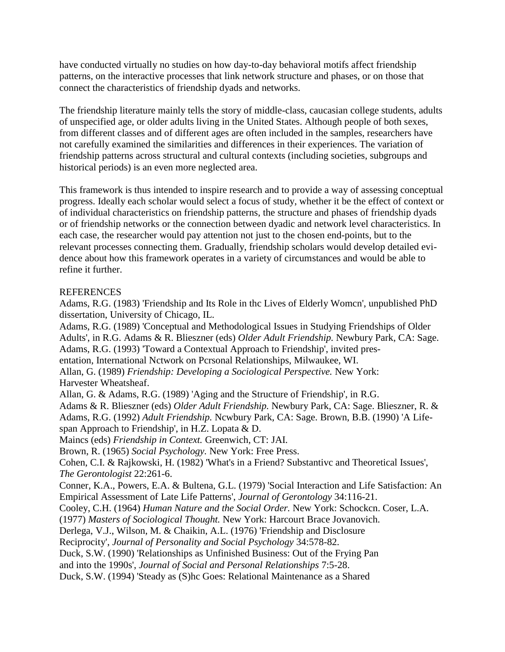have conducted virtually no studies on how day-to-day behavioral motifs affect friendship patterns, on the interactive processes that link network structure and phases, or on those that connect the characteristics of friendship dyads and networks.

The friendship literature mainly tells the story of middle-class, caucasian college students, adults of unspecified age, or older adults living in the United States. Although people of both sexes, from different classes and of different ages are often included in the samples, researchers have not carefully examined the similarities and differences in their experiences. The variation of friendship patterns across structural and cultural contexts (including societies, subgroups and historical periods) is an even more neglected area.

This framework is thus intended to inspire research and to provide a way of assessing conceptual progress. Ideally each scholar would select a focus of study, whether it be the effect of context or of individual characteristics on friendship patterns, the structure and phases of friendship dyads or of friendship networks or the connection between dyadic and network level characteristics. In each case, the researcher would pay attention not just to the chosen end-points, but to the relevant processes connecting them. Gradually, friendship scholars would develop detailed evidence about how this framework operates in a variety of circumstances and would be able to refine it further.

# **REFERENCES**

Adams, R.G. (1983) 'Friendship and Its Role in thc Lives of Elderly Womcn', unpublished PhD dissertation, University of Chicago, IL.

Adams, R.G. (1989) 'Conceptual and Methodological Issues in Studying Friendships of Older Adults', in R.G. Adams & R. Blieszner (eds) *Older Adult Friendship.* Newbury Park, CA: Sage. Adams, R.G. (1993) 'Toward a Contextual Approach to Friendship', invited presentation, International Nctwork on Pcrsonal Relationships, Milwaukee, WI. Allan, G. (1989) *Friendship: Developing a Sociological Perspective.* New York: Harvester Wheatsheaf. Allan, G. & Adams, R.G. (1989) 'Aging and the Structure of Friendship', in R.G. Adams & R. Blieszner (eds) *Older Adult Friendship.* Newbury Park, CA: Sage. Blieszner, R. & Adams, R.G. (1992) *Adult Friendship.* Ncwbury Park, CA: Sage. Brown, B.B. (1990) 'A Lifespan Approach to Friendship', in H.Z. Lopata & D. Maincs (eds) *Friendship in Context.* Greenwich, CT: JAI. Brown, R. (1965) *Social Psychology.* New York: Free Press. Cohen, C.I. & Rajkowski, H. (1982) 'What's in a Friend? Substantivc and Theoretical Issues', *The Gerontologist* 22:261-6. Conner, K.A., Powers, E.A. & Bultena, G.L. (1979) 'Social Interaction and Life Satisfaction: An Empirical Assessment of Late Life Patterns', *Journal of Gerontology* 34:116-21. Cooley, C.H. (1964) *Human Nature and the Social Order.* New York: Schockcn. Coser, L.A. (1977) *Masters of Sociological Thought.* New York: Harcourt Brace Jovanovich. Derlega, V.J., Wilson, M. & Chaikin, A.L. (1976) 'Friendship and Disclosure Reciprocity', *Journal of Personality and Social Psychology* 34:578-82. Duck, S.W. (1990) 'Relationships as Unfinished Business: Out of the Frying Pan and into the 1990s', *Journal of Social and Personal Relationships* 7:5-28. Duck, S.W. (1994) 'Steady as (S)hc Goes: Relational Maintenance as a Shared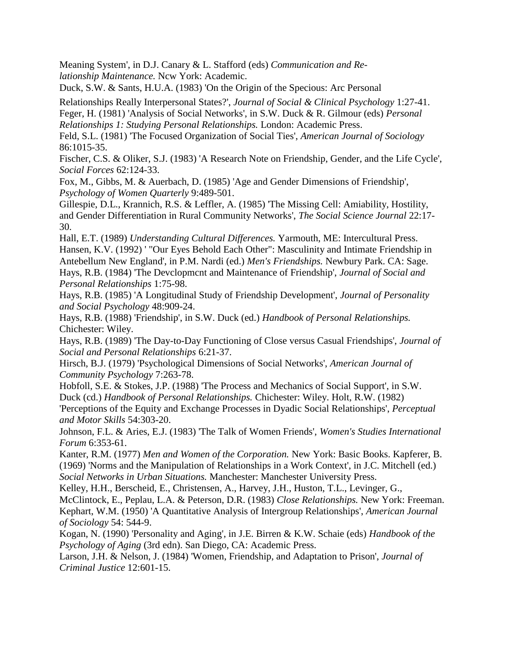Meaning System', in D.J. Canary & L. Stafford (eds) *Communication and Relationship Maintenance.* Ncw York: Academic.

Duck, S.W. & Sants, H.U.A. (1983) 'On the Origin of the Specious: Arc Personal

Relationships Really Interpersonal States?', *Journal of Social & Clinical Psychology* 1:27-41.

Feger, H. (1981) 'Analysis of Social Networks', in S.W. Duck & R. Gilmour (eds) *Personal Relationships 1: Studying Personal Relationships.* London: Academic Press.

Feld, S.L. (1981) 'The Focused Organization of Social Ties', *American Journal of Sociology*  86:1015-35.

Fischer, C.S. & Oliker, S.J. (1983) 'A Research Note on Friendship, Gender, and the Life Cycle', *Social Forces* 62:124-33.

Fox, M., Gibbs, M. & Auerbach, D. (1985) 'Age and Gender Dimensions of Friendship', *Psychology of Women Quarterly* 9:489-501.

Gillespie, D.L., Krannich, R.S. & Leffler, A. (1985) 'The Missing Cell: Amiability, Hostility, and Gender Differentiation in Rural Community Networks', *The Social Science Journal* 22:17- 30.

Hall, E.T. (1989) *Understanding Cultural Differences.* Yarmouth, ME: Intercultural Press. Hansen, K.V. (1992) ' "Our Eyes Behold Each Other": Masculinity and Intimate Friendship in Antebellum New England', in P.M. Nardi (ed.) *Men's Friendships.* Newbury Park. CA: Sage. Hays, R.B. (1984) 'The Devclopmcnt and Maintenance of Friendship', *Journal of Social and Personal Relationships* 1:75-98.

Hays, R.B. (1985) 'A Longitudinal Study of Friendship Development', *Journal of Personality and Social Psychology* 48:909-24.

Hays, R.B. (1988) 'Friendship', in S.W. Duck (ed.) *Handbook of Personal Relationships.*  Chichester: Wiley.

Hays, R.B. (1989) 'The Day-to-Day Functioning of Close versus Casual Friendships', *Journal of Social and Personal Relationships* 6:21-37.

Hirsch, B.J. (1979) 'Psychological Dimensions of Social Networks', *American Journal of Community Psychology* 7:263-78.

Hobfoll, S.E. & Stokes, J.P. (1988) 'The Process and Mechanics of Social Support', in S.W. Duck (cd.) *Handbook of Personal Relationships.* Chichester: Wiley. Holt, R.W. (1982)

'Perceptions of the Equity and Exchange Processes in Dyadic Social Relationships', *Perceptual and Motor Skills* 54:303-20.

Johnson, F.L. & Aries, E.J. (1983) 'The Talk of Women Friends', *Women's Studies International Forum* 6:353-61.

Kanter, R.M. (1977) *Men and Women of the Corporation.* New York: Basic Books. Kapferer, B. (1969) 'Norms and the Manipulation of Relationships in a Work Context', in J.C. Mitchell (ed.) *Social Networks in Urban Situations.* Manchester: Manchester University Press.

Kelley, H.H., Berscheid, E., Christensen, A., Harvey, J.H., Huston, T.L., Levinger, G.,

McClintock, E., Peplau, L.A. & Peterson, D.R. (1983) *Close Relationships.* New York: Freeman. Kephart, W.M. (1950) 'A Quantitative Analysis of Intergroup Relationships', *American Journal of Sociology* 54: 544-9.

Kogan, N. (1990) 'Personality and Aging', in J.E. Birren & K.W. Schaie (eds) *Handbook of the Psychology of Aging* (3rd edn). San Diego, CA: Academic Press.

Larson, J.H. & Nelson, J. (1984) 'Women, Friendship, and Adaptation to Prison', *Journal of Criminal Justice* 12:601-15.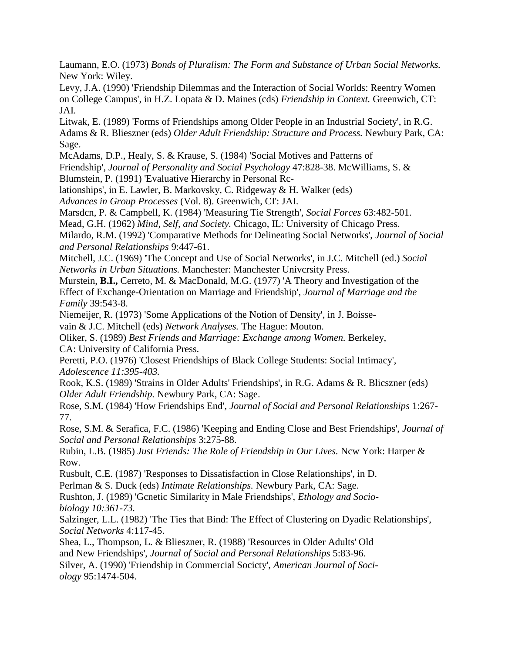Laumann, E.O. (1973) *Bonds of Pluralism: The Form and Substance of Urban Social Networks.*  New York: Wiley.

Levy, J.A. (1990) 'Friendship Dilemmas and the Interaction of Social Worlds: Reentry Women on College Campus', in H.Z. Lopata & D. Maines (cds) *Friendship in Context.* Greenwich, CT: JAI.

Litwak, E. (1989) 'Forms of Friendships among Older People in an Industrial Society', in R.G. Adams & R. Blieszner (eds) *Older Adult Friendship: Structure and Process.* Newbury Park, CA: Sage.

McAdams, D.P., Healy, S. & Krause, S. (1984) 'Social Motives and Patterns of Friendship', *Journal of Personality and Social Psychology* 47:828-38. McWilliams, S. & Blumstein, P. (1991) 'Evaluative Hierarchy in Personal Rc-

lationships', in E. Lawler, B. Markovsky, C. Ridgeway & H. Walker (eds)

*Advances in Group Processes* (Vol. 8). Greenwich, CI': JAI.

Marsdcn, P. & Campbell, K. (1984) 'Measuring Tie Strength', *Social Forces* 63:482-501.

Mead, G.H. (1962) *Mind, Self, and Society.* Chicago, IL: University of Chicago Press.

Milardo, R.M. (1992) 'Comparative Methods for Delineating Social Networks', *Journal of Social and Personal Relationships* 9:447-61.

Mitchell, J.C. (1969) 'The Concept and Use of Social Networks', in J.C. Mitchell (ed.) *Social Networks in Urban Situations.* Manchester: Manchester Univcrsity Press.

Murstein, **B.I.,** Cerreto, M. & MacDonald, M.G. (1977) 'A Theory and Investigation of the Effect of Exchange-Orientation on Marriage and Friendship', *Journal of Marriage and the Family* 39:543-8.

Niemeijer, R. (1973) 'Some Applications of the Notion of Density', in J. Boisse-

vain & J.C. Mitchell (eds) *Network Analyses.* The Hague: Mouton.

Oliker, S. (1989) *Best Friends and Marriage: Exchange among Women.* Berkeley, CA: University of California Press.

Peretti, P.O. (1976) 'Closest Friendships of Black College Students: Social Intimacy', *Adolescence 11:395-403.*

Rook, K.S. (1989) 'Strains in Older Adults' Friendships', in R.G. Adams & R. Blicszner (eds) *Older Adult Friendship.* Newbury Park, CA: Sage.

Rose, S.M. (1984) 'How Friendships End', *Journal of Social and Personal Relationships* 1:267- 77.

Rose, S.M. & Serafica, F.C. (1986) 'Keeping and Ending Close and Best Friendships', *Journal of Social and Personal Relationships* 3:275-88.

Rubin, L.B. (1985) *Just Friends: The Role of Friendship in Our Lives.* Ncw York: Harper & Row.

Rusbult, C.E. (1987) 'Responses to Dissatisfaction in Close Relationships', in D.

Perlman & S. Duck (eds) *Intimate Relationships.* Newbury Park, CA: Sage.

Rushton, J. (1989) 'Gcnetic Similarity in Male Friendships', *Ethology and Sociobiology 10:361-73.*

Salzinger, L.L. (1982) 'The Ties that Bind: The Effect of Clustering on Dyadic Relationships', *Social Networks* 4:117-45.

Shea, L., Thompson, L. & Blieszner, R. (1988) 'Resources in Older Adults' Old

and New Friendships', *Journal of Social and Personal Relationships* 5:83-96.

Silver, A. (1990) 'Friendship in Commercial Socicty', *American Journal of Sociology* 95:1474-504.